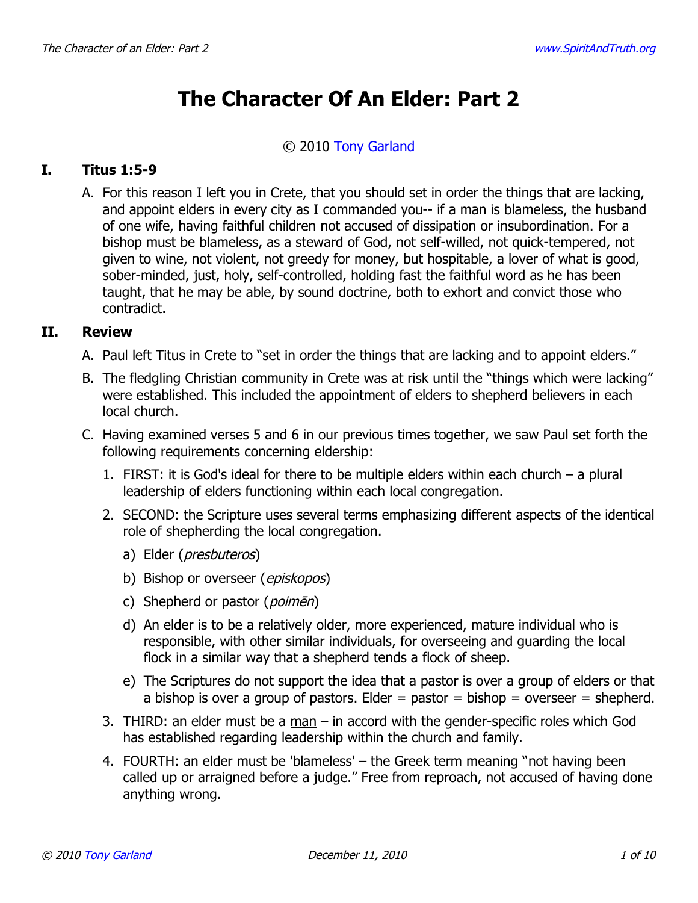# **The Character Of An Elder: Part 2**

#### © 2010 [Tony Garland](http://www.spiritandtruth.org/id/tg.htm)

# **I. Titus 1:5-9**

A. For this reason I left you in Crete, that you should set in order the things that are lacking, and appoint elders in every city as I commanded you-- if a man is blameless, the husband of one wife, having faithful children not accused of dissipation or insubordination. For a bishop must be blameless, as a steward of God, not self-willed, not quick-tempered, not given to wine, not violent, not greedy for money, but hospitable, a lover of what is good, sober-minded, just, holy, self-controlled, holding fast the faithful word as he has been taught, that he may be able, by sound doctrine, both to exhort and convict those who contradict.

## **II. Review**

- A. Paul left Titus in Crete to "set in order the things that are lacking and to appoint elders."
- B. The fledgling Christian community in Crete was at risk until the "things which were lacking" were established. This included the appointment of elders to shepherd believers in each local church.
- C. Having examined verses 5 and 6 in our previous times together, we saw Paul set forth the following requirements concerning eldership:
	- 1. FIRST: it is God's ideal for there to be multiple elders within each church a plural leadership of elders functioning within each local congregation.
	- 2. SECOND: the Scripture uses several terms emphasizing different aspects of the identical role of shepherding the local congregation.
		- a) Elder (*presbuteros*)
		- b) Bishop or overseer (*episkopos*)
		- c) Shepherd or pastor (poimēn)
		- d) An elder is to be a relatively older, more experienced, mature individual who is responsible, with other similar individuals, for overseeing and guarding the local flock in a similar way that a shepherd tends a flock of sheep.
		- e) The Scriptures do not support the idea that a pastor is over a group of elders or that a bishop is over a group of pastors. Elder  $=$  pastor  $=$  bishop  $=$  overseer  $=$  shepherd.
	- 3. THIRD: an elder must be a man in accord with the gender-specific roles which God has established regarding leadership within the church and family.
	- 4. FOURTH: an elder must be 'blameless' the Greek term meaning "not having been called up or arraigned before a judge." Free from reproach, not accused of having done anything wrong.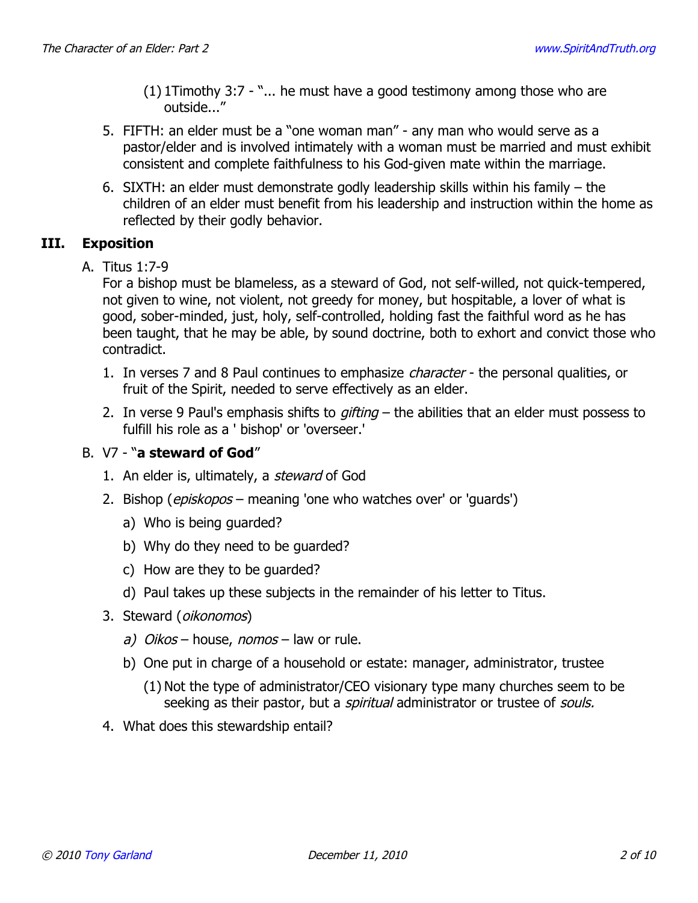- (1) 1Timothy 3:7 "... he must have a good testimony among those who are outside..."
- 5. FIFTH: an elder must be a "one woman man" any man who would serve as a pastor/elder and is involved intimately with a woman must be married and must exhibit consistent and complete faithfulness to his God-given mate within the marriage.
- 6. SIXTH: an elder must demonstrate godly leadership skills within his family the children of an elder must benefit from his leadership and instruction within the home as reflected by their godly behavior.

# **III. Exposition**

A. Titus 1:7-9

For a bishop must be blameless, as a steward of God, not self-willed, not quick-tempered, not given to wine, not violent, not greedy for money, but hospitable, a lover of what is good, sober-minded, just, holy, self-controlled, holding fast the faithful word as he has been taught, that he may be able, by sound doctrine, both to exhort and convict those who contradict.

- 1. In verses 7 and 8 Paul continues to emphasize *character* the personal qualities, or fruit of the Spirit, needed to serve effectively as an elder.
- 2. In verse 9 Paul's emphasis shifts to gifting  $-$  the abilities that an elder must possess to fulfill his role as a ' bishop' or 'overseer.'

## B. V7 - "**a steward of God**"

- 1. An elder is, ultimately, a *steward* of God
- 2. Bishop (*episkopos* meaning 'one who watches over' or 'guards')
	- a) Who is being guarded?
	- b) Why do they need to be guarded?
	- c) How are they to be guarded?
	- d) Paul takes up these subjects in the remainder of his letter to Titus.
- 3. Steward (oikonomos)
	- a) Oikos house, nomos law or rule.
	- b) One put in charge of a household or estate: manager, administrator, trustee
		- (1) Not the type of administrator/CEO visionary type many churches seem to be seeking as their pastor, but a *spiritual* administrator or trustee of *souls*.
- 4. What does this stewardship entail?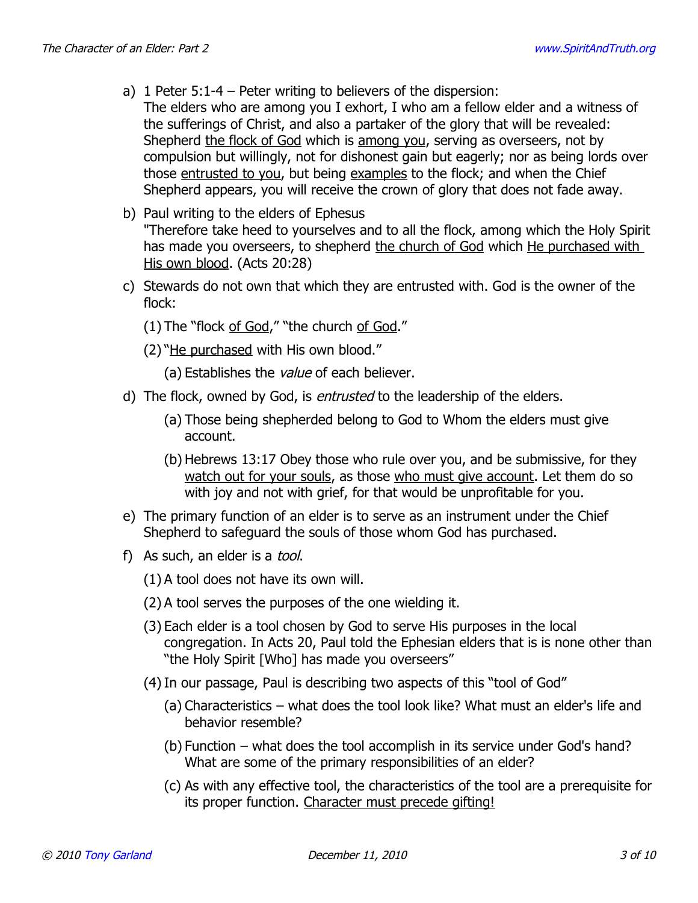- a) 1 Peter 5:1-4 Peter writing to believers of the dispersion:
- The elders who are among you I exhort, I who am a fellow elder and a witness of the sufferings of Christ, and also a partaker of the glory that will be revealed: Shepherd the flock of God which is among you, serving as overseers, not by compulsion but willingly, not for dishonest gain but eagerly; nor as being lords over those entrusted to you, but being examples to the flock; and when the Chief Shepherd appears, you will receive the crown of glory that does not fade away.
- b) Paul writing to the elders of Ephesus "Therefore take heed to yourselves and to all the flock, among which the Holy Spirit has made you overseers, to shepherd the church of God which He purchased with His own blood. (Acts 20:28)
- c) Stewards do not own that which they are entrusted with. God is the owner of the flock:
	- (1) The "flock of God," "the church of God."
	- (2) "He purchased with His own blood."
		- (a) Establishes the value of each believer.
- d) The flock, owned by God, is *entrusted* to the leadership of the elders.
	- (a) Those being shepherded belong to God to Whom the elders must give account.
	- (b) Hebrews 13:17 Obey those who rule over you, and be submissive, for they watch out for your souls, as those who must give account. Let them do so with joy and not with grief, for that would be unprofitable for you.
- e) The primary function of an elder is to serve as an instrument under the Chief Shepherd to safeguard the souls of those whom God has purchased.
- f) As such, an elder is a *tool*.
	- (1) A tool does not have its own will.
	- (2) A tool serves the purposes of the one wielding it.
	- (3) Each elder is a tool chosen by God to serve His purposes in the local congregation. In Acts 20, Paul told the Ephesian elders that is is none other than "the Holy Spirit [Who] has made you overseers"
	- (4) In our passage, Paul is describing two aspects of this "tool of God"
		- (a) Characteristics what does the tool look like? What must an elder's life and behavior resemble?
		- (b) Function what does the tool accomplish in its service under God's hand? What are some of the primary responsibilities of an elder?
		- (c) As with any effective tool, the characteristics of the tool are a prerequisite for its proper function. Character must precede gifting!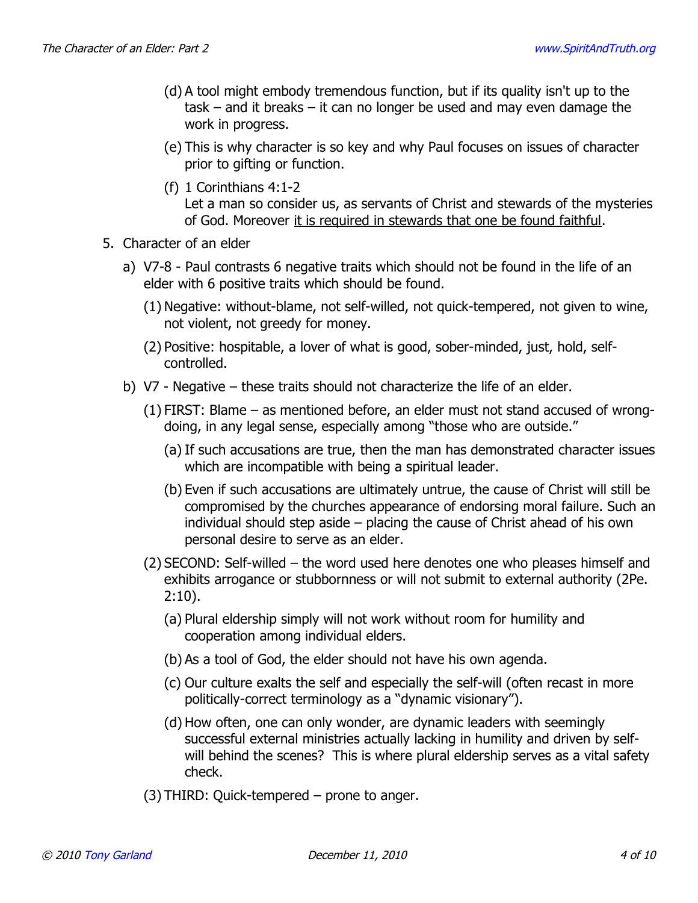- (d) A tool might embody tremendous function, but if its quality isn't up to the task – and it breaks – it can no longer be used and may even damage the work in progress.
- (e) This is why character is so key and why Paul focuses on issues of character prior to gifting or function.
- (f) 1 Corinthians 4:1-2 Let a man so consider us, as servants of Christ and stewards of the mysteries of God. Moreover it is required in stewards that one be found faithful.
- 5. Character of an elder
	- a) V7-8 Paul contrasts 6 negative traits which should not be found in the life of an elder with 6 positive traits which should be found.
		- (1) Negative: without-blame, not self-willed, not quick-tempered, not given to wine, not violent, not greedy for money.
		- (2) Positive: hospitable, a lover of what is good, sober-minded, just, hold, selfcontrolled.
	- b) V7 Negative these traits should not characterize the life of an elder.
		- (1) FIRST: Blame as mentioned before, an elder must not stand accused of wrongdoing, in any legal sense, especially among "those who are outside."
			- (a) If such accusations are true, then the man has demonstrated character issues which are incompatible with being a spiritual leader.
			- (b) Even if such accusations are ultimately untrue, the cause of Christ will still be compromised by the churches appearance of endorsing moral failure. Such an individual should step aside – placing the cause of Christ ahead of his own personal desire to serve as an elder.
		- (2) SECOND: Self-willed the word used here denotes one who pleases himself and exhibits arrogance or stubbornness or will not submit to external authority (2Pe. 2:10).
			- (a) Plural eldership simply will not work without room for humility and cooperation among individual elders.
			- (b) As a tool of God, the elder should not have his own agenda.
			- (c) Our culture exalts the self and especially the self-will (often recast in more politically-correct terminology as a "dynamic visionary").
			- (d) How often, one can only wonder, are dynamic leaders with seemingly successful external ministries actually lacking in humility and driven by selfwill behind the scenes? This is where plural eldership serves as a vital safety check.
		- (3) THIRD: Quick-tempered prone to anger.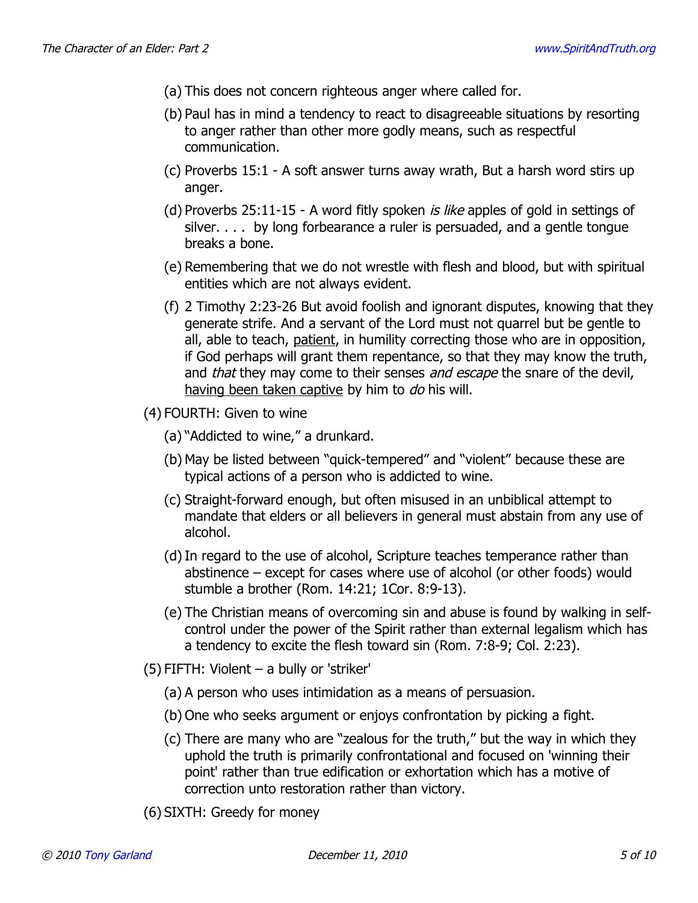- (a) This does not concern righteous anger where called for.
- (b) Paul has in mind a tendency to react to disagreeable situations by resorting to anger rather than other more godly means, such as respectful communication.
- (c) Proverbs 15:1 A soft answer turns away wrath, But a harsh word stirs up anger.
- (d) Proverbs 25:11-15 A word fitly spoken *is like* apples of gold in settings of silver. . . . by long forbearance a ruler is persuaded, and a gentle tongue breaks a bone.
- (e) Remembering that we do not wrestle with flesh and blood, but with spiritual entities which are not always evident.
- (f) 2 Timothy 2:23-26 But avoid foolish and ignorant disputes, knowing that they generate strife. And a servant of the Lord must not quarrel but be gentle to all, able to teach, patient, in humility correcting those who are in opposition, if God perhaps will grant them repentance, so that they may know the truth, and *that* they may come to their senses *and escape* the snare of the devil, having been taken captive by him to do his will.
- (4) FOURTH: Given to wine
	- (a) "Addicted to wine," a drunkard.
	- (b) May be listed between "quick-tempered" and "violent" because these are typical actions of a person who is addicted to wine.
	- (c) Straight-forward enough, but often misused in an unbiblical attempt to mandate that elders or all believers in general must abstain from any use of alcohol.
	- (d)In regard to the use of alcohol, Scripture teaches temperance rather than abstinence – except for cases where use of alcohol (or other foods) would stumble a brother (Rom. 14:21; 1Cor. 8:9-13).
	- (e) The Christian means of overcoming sin and abuse is found by walking in selfcontrol under the power of the Spirit rather than external legalism which has a tendency to excite the flesh toward sin (Rom. 7:8-9; Col. 2:23).
- (5) FIFTH: Violent a bully or 'striker'
	- (a) A person who uses intimidation as a means of persuasion.
	- (b) One who seeks argument or enjoys confrontation by picking a fight.
	- (c) There are many who are "zealous for the truth," but the way in which they uphold the truth is primarily confrontational and focused on 'winning their point' rather than true edification or exhortation which has a motive of correction unto restoration rather than victory.
- (6) SIXTH: Greedy for money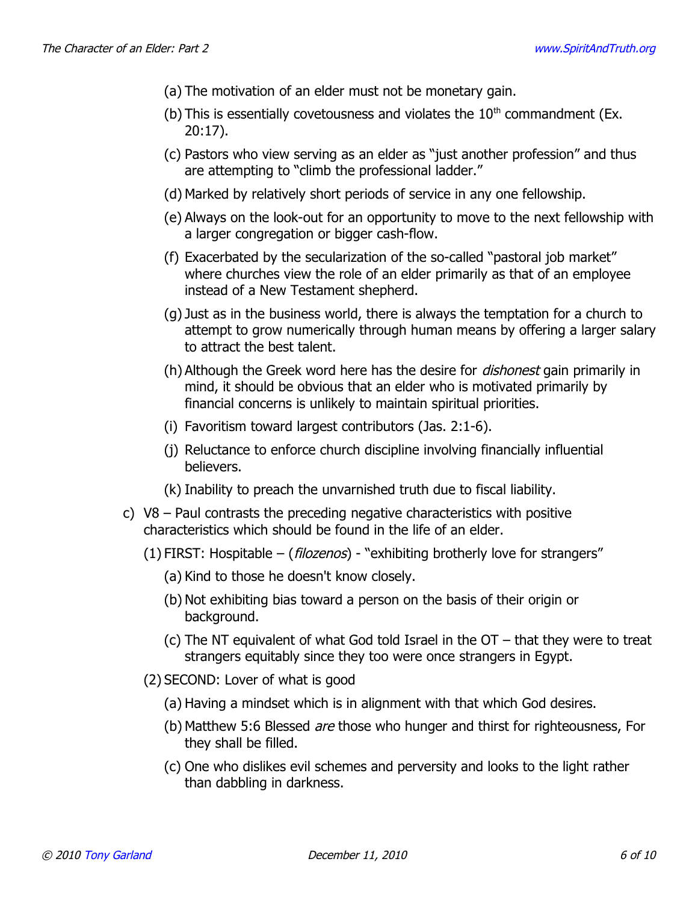- (a) The motivation of an elder must not be monetary gain.
- (b) This is essentially covetousness and violates the  $10<sup>th</sup>$  commandment (Ex. 20:17).
- (c) Pastors who view serving as an elder as "just another profession" and thus are attempting to "climb the professional ladder."
- (d) Marked by relatively short periods of service in any one fellowship.
- (e) Always on the look-out for an opportunity to move to the next fellowship with a larger congregation or bigger cash-flow.
- (f) Exacerbated by the secularization of the so-called "pastoral job market" where churches view the role of an elder primarily as that of an employee instead of a New Testament shepherd.
- (g) Just as in the business world, there is always the temptation for a church to attempt to grow numerically through human means by offering a larger salary to attract the best talent.
- (h) Although the Greek word here has the desire for *dishonest* gain primarily in mind, it should be obvious that an elder who is motivated primarily by financial concerns is unlikely to maintain spiritual priorities.
- (i) Favoritism toward largest contributors (Jas. 2:1-6).
- (j) Reluctance to enforce church discipline involving financially influential believers.
- (k) Inability to preach the unvarnished truth due to fiscal liability.
- c) V8 Paul contrasts the preceding negative characteristics with positive characteristics which should be found in the life of an elder.
	- (1) FIRST: Hospitable  $-$  (*filozenos*) "exhibiting brotherly love for strangers"
		- (a) Kind to those he doesn't know closely.
		- (b) Not exhibiting bias toward a person on the basis of their origin or background.
		- (c) The NT equivalent of what God told Israel in the OT that they were to treat strangers equitably since they too were once strangers in Egypt.
	- (2) SECOND: Lover of what is good
		- (a) Having a mindset which is in alignment with that which God desires.
		- (b) Matthew 5:6 Blessed are those who hunger and thirst for righteousness, For they shall be filled.
		- (c) One who dislikes evil schemes and perversity and looks to the light rather than dabbling in darkness.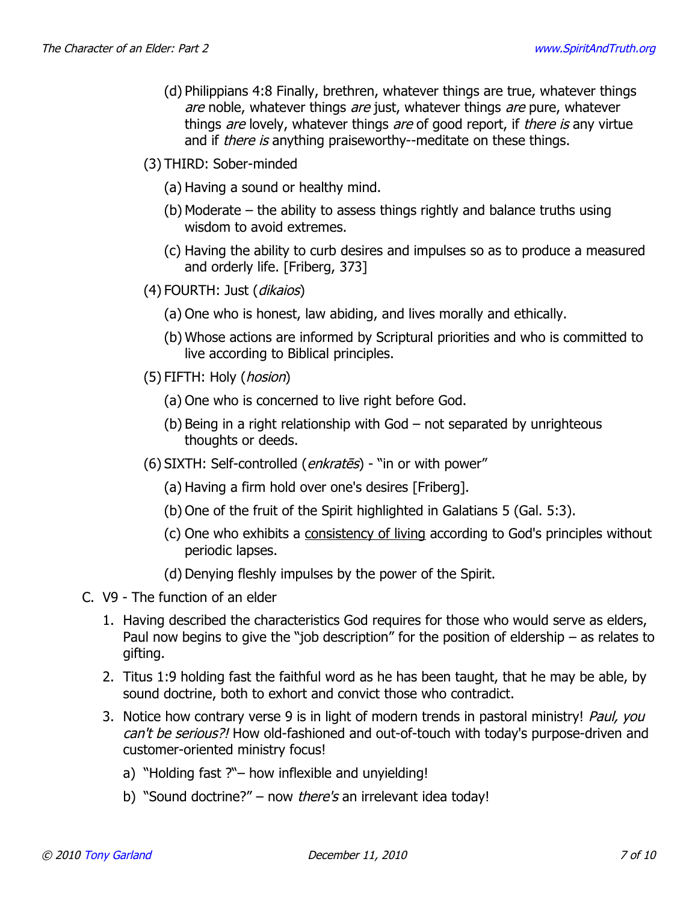- (d) Philippians 4:8 Finally, brethren, whatever things are true, whatever things are noble, whatever things are just, whatever things are pure, whatever things are lovely, whatever things are of good report, if there is any virtue and if *there is* anything praiseworthy--meditate on these things.
- (3) THIRD: Sober-minded
	- (a) Having a sound or healthy mind.
	- (b) Moderate the ability to assess things rightly and balance truths using wisdom to avoid extremes.
	- (c) Having the ability to curb desires and impulses so as to produce a measured and orderly life. [Friberg, 373]
- (4) FOURTH: Just (dikaios)
	- (a) One who is honest, law abiding, and lives morally and ethically.
	- (b) Whose actions are informed by Scriptural priorities and who is committed to live according to Biblical principles.
- (5) FIFTH: Holy (*hosion*)
	- (a) One who is concerned to live right before God.
	- (b) Being in a right relationship with God not separated by unrighteous thoughts or deeds.
- (6) SIXTH: Self-controlled (enkrates) "in or with power"
	- (a) Having a firm hold over one's desires [Friberg].
	- (b) One of the fruit of the Spirit highlighted in Galatians 5 (Gal. 5:3).
	- (c) One who exhibits a consistency of living according to God's principles without periodic lapses.
	- (d) Denying fleshly impulses by the power of the Spirit.
- C. V9 The function of an elder
	- 1. Having described the characteristics God requires for those who would serve as elders, Paul now begins to give the "job description" for the position of eldership – as relates to gifting.
	- 2. Titus 1:9 holding fast the faithful word as he has been taught, that he may be able, by sound doctrine, both to exhort and convict those who contradict.
	- 3. Notice how contrary verse 9 is in light of modern trends in pastoral ministry! Paul, you can't be serious?! How old-fashioned and out-of-touch with today's purpose-driven and customer-oriented ministry focus!
		- a) "Holding fast ?"– how inflexible and unyielding!
		- b) "Sound doctrine?" now *there's* an irrelevant idea today!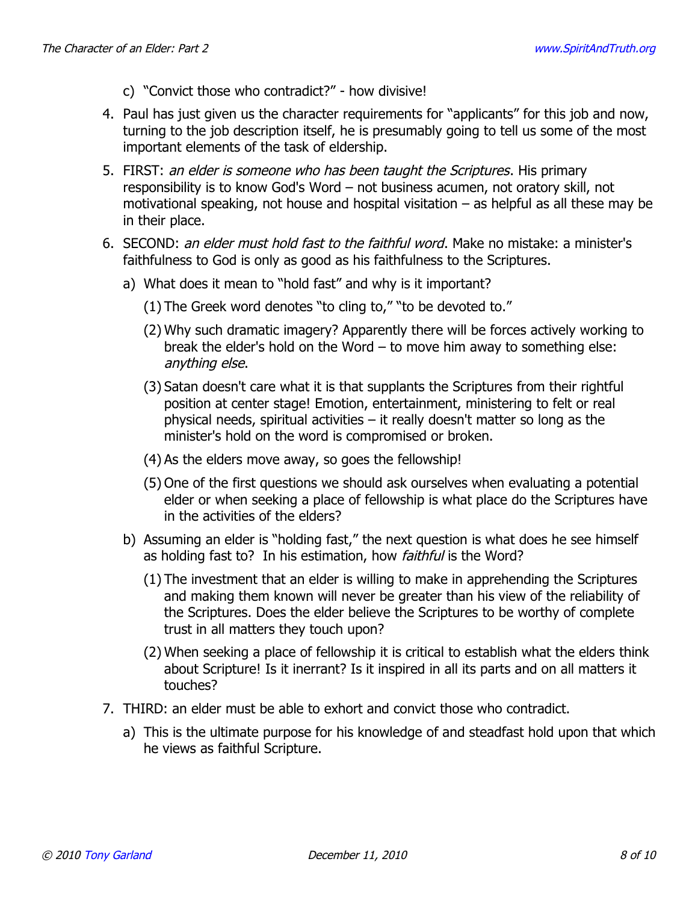- c) "Convict those who contradict?" how divisive!
- 4. Paul has just given us the character requirements for "applicants" for this job and now, turning to the job description itself, he is presumably going to tell us some of the most important elements of the task of eldership.
- 5. FIRST: an elder is someone who has been taught the Scriptures. His primary responsibility is to know God's Word – not business acumen, not oratory skill, not motivational speaking, not house and hospital visitation – as helpful as all these may be in their place.
- 6. SECOND: an elder must hold fast to the faithful word. Make no mistake: a minister's faithfulness to God is only as good as his faithfulness to the Scriptures.
	- a) What does it mean to "hold fast" and why is it important?
		- (1) The Greek word denotes "to cling to," "to be devoted to."
		- (2) Why such dramatic imagery? Apparently there will be forces actively working to break the elder's hold on the Word – to move him away to something else: anything else.
		- (3) Satan doesn't care what it is that supplants the Scriptures from their rightful position at center stage! Emotion, entertainment, ministering to felt or real physical needs, spiritual activities – it really doesn't matter so long as the minister's hold on the word is compromised or broken.
		- (4) As the elders move away, so goes the fellowship!
		- (5) One of the first questions we should ask ourselves when evaluating a potential elder or when seeking a place of fellowship is what place do the Scriptures have in the activities of the elders?
	- b) Assuming an elder is "holding fast," the next question is what does he see himself as holding fast to? In his estimation, how *faithful* is the Word?
		- (1) The investment that an elder is willing to make in apprehending the Scriptures and making them known will never be greater than his view of the reliability of the Scriptures. Does the elder believe the Scriptures to be worthy of complete trust in all matters they touch upon?
		- (2) When seeking a place of fellowship it is critical to establish what the elders think about Scripture! Is it inerrant? Is it inspired in all its parts and on all matters it touches?
- 7. THIRD: an elder must be able to exhort and convict those who contradict.
	- a) This is the ultimate purpose for his knowledge of and steadfast hold upon that which he views as faithful Scripture.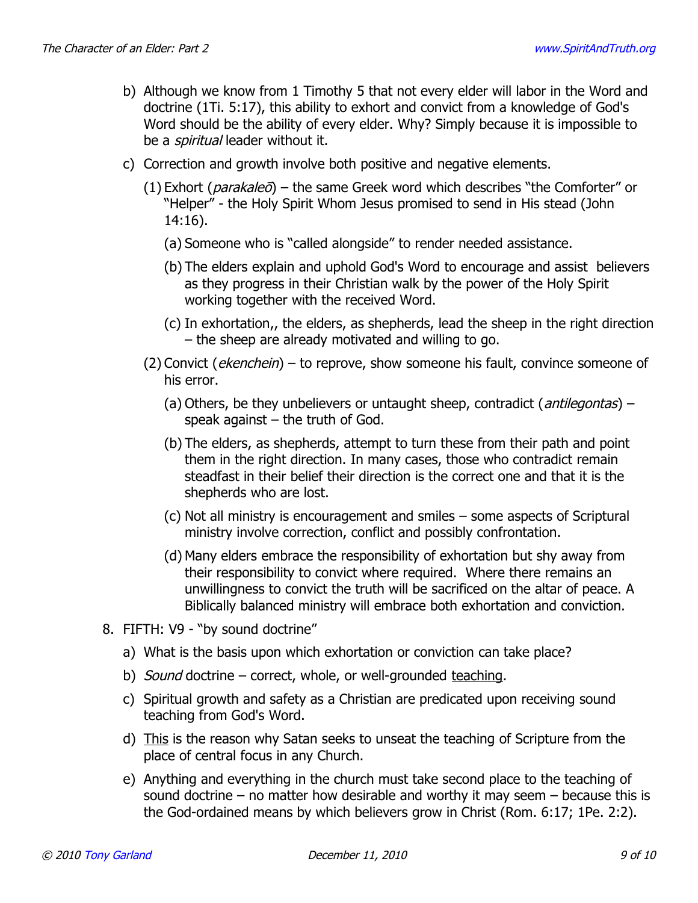- b) Although we know from 1 Timothy 5 that not every elder will labor in the Word and doctrine (1Ti. 5:17), this ability to exhort and convict from a knowledge of God's Word should be the ability of every elder. Why? Simply because it is impossible to be a *spiritual* leader without it.
- c) Correction and growth involve both positive and negative elements.
	- (1) Exhort (*parakaleō*) the same Greek word which describes "the Comforter" or "Helper" - the Holy Spirit Whom Jesus promised to send in His stead (John 14:16).
		- (a) Someone who is "called alongside" to render needed assistance.
		- (b) The elders explain and uphold God's Word to encourage and assist believers as they progress in their Christian walk by the power of the Holy Spirit working together with the received Word.
		- (c) In exhortation,, the elders, as shepherds, lead the sheep in the right direction – the sheep are already motivated and willing to go.
	- $(2)$  Convict (*ekenchein*) to reprove, show someone his fault, convince someone of his error.
		- (a) Others, be they unbelievers or untaught sheep, contradict (*antilegontas*) speak against  $-$  the truth of God.
		- (b) The elders, as shepherds, attempt to turn these from their path and point them in the right direction. In many cases, those who contradict remain steadfast in their belief their direction is the correct one and that it is the shepherds who are lost.
		- (c) Not all ministry is encouragement and smiles some aspects of Scriptural ministry involve correction, conflict and possibly confrontation.
		- (d) Many elders embrace the responsibility of exhortation but shy away from their responsibility to convict where required. Where there remains an unwillingness to convict the truth will be sacrificed on the altar of peace. A Biblically balanced ministry will embrace both exhortation and conviction.
- 8. FIFTH: V9 "by sound doctrine"
	- a) What is the basis upon which exhortation or conviction can take place?
	- b) Sound doctrine correct, whole, or well-grounded teaching.
	- c) Spiritual growth and safety as a Christian are predicated upon receiving sound teaching from God's Word.
	- d) This is the reason why Satan seeks to unseat the teaching of Scripture from the place of central focus in any Church.
	- e) Anything and everything in the church must take second place to the teaching of sound doctrine – no matter how desirable and worthy it may seem – because this is the God-ordained means by which believers grow in Christ (Rom. 6:17; 1Pe. 2:2).